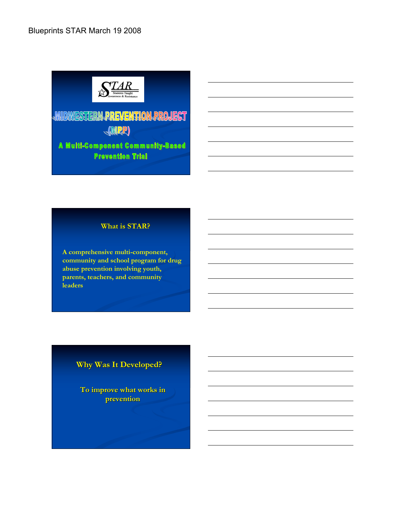

# MIDWESTERN PREVENTION PROJECT **AMRR**

A Multi-Component Community-Based **Prevention Trial** 

#### **What is STAR?**

**A comprehensive multi-component, community and school program for drug abuse prevention involving youth, parents, teachers, and community leaders**

# **Why Was It Developed?**

**To improve what works in prevention**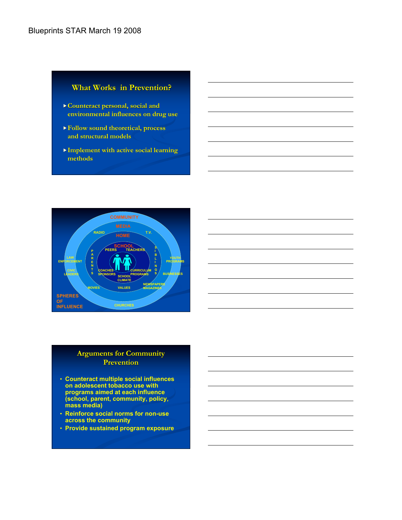#### **What Works in Prevention?**

- **Counteract personal, social and environmental influences on drug use**
- **Follow sound theoretical, process and structural models**
- **Implement with active social learning methods**



#### **Arguments for Community Prevention**

- **Counteract multiple social influences on adolescent tobacco use with programs aimed at each influence (school, parent, community, policy, mass media)**
- **Reinforce social norms for non-use across the community**
- **Provide sustained program exposure**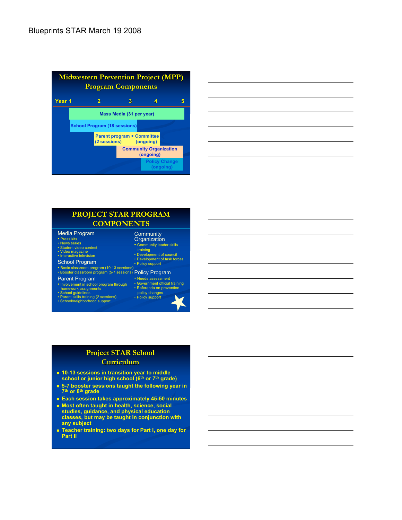| <b>Midwestern Prevention Project (MPP)</b><br><b>Program Components</b> |  |                                                             |   |                                            |                                   |  |
|-------------------------------------------------------------------------|--|-------------------------------------------------------------|---|--------------------------------------------|-----------------------------------|--|
| Year 1                                                                  |  | 2                                                           | З |                                            |                                   |  |
|                                                                         |  | Mass Media (31 per year)                                    |   |                                            |                                   |  |
| <b>School Program (18 sessions)</b>                                     |  |                                                             |   |                                            |                                   |  |
|                                                                         |  | <b>Parent program + Committee</b><br>(2 sessions) (ongoing) |   |                                            |                                   |  |
|                                                                         |  |                                                             |   | <b>Community Organization</b><br>(ongoing) |                                   |  |
|                                                                         |  |                                                             |   |                                            | <b>Policy Change</b><br>(ongoing) |  |



#### **PROJECT STAR PROGRAM COMPONENTS Community** Media Program

- **Organization •** Community leader skills training • Development of council • Development of task forces • Policy support • Basic classroom program (10-13 sessions)<br>• Booster classroom program (5-7 sessions) P<mark>O|iC</mark>Y Pr<mark>OGra</mark>m • Needs assessment • Government official training • Referenda on prevention policy changes • Policy support • Press kits • News series • Student video contest • Video magazine • Interactive television School Program Parent Program • Involvement in school program through homework assignments • School guidelines • Parent skills training (2 sessions) • School/neighborhood support
	-
- 

#### **Project STAR School Curriculum**

- **10-13 sessions in transition year to middle school or junior high school (6th or 7th grade)**
- **5-7 booster sessions taught the following year in 7th or 8th grade**
- **Each session takes approximately 45-50 minutes**
- **Most often taught in health, science, social studies, guidance, and physical education classes, but may be taught in conjunction with any subject**
- **Teacher training: two days for Part I, one day for Part II**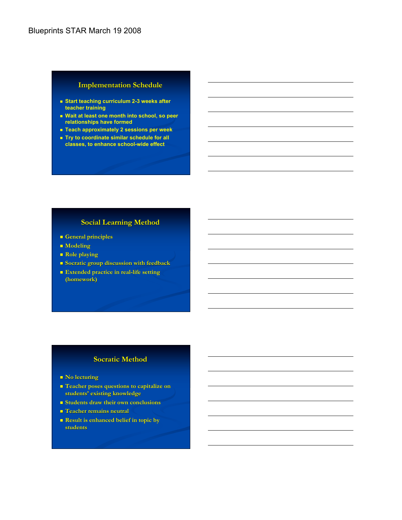#### **Implementation Schedule**

- **Start teaching curriculum 2-3 weeks after teacher training**
- **Wait at least one month into school, so peer relationships have formed**
- **Teach approximately 2 sessions per week**
- **Try to coordinate similar schedule for all classes, to enhance school-wide effect**

#### **Social Learning Method**

- **General principles**
- **Modeling**
- **Role playing**
- **Socratic group discussion with feedback**
- **Extended practice in real-life setting (homework)**

#### **Socratic Method**

- **No lecturing**
- **Teacher poses questions to capitalize on students' existing knowledge**
- **Students draw their own conclusions**
- **Teacher remains neutral**
- **Result is enhanced belief in topic by students**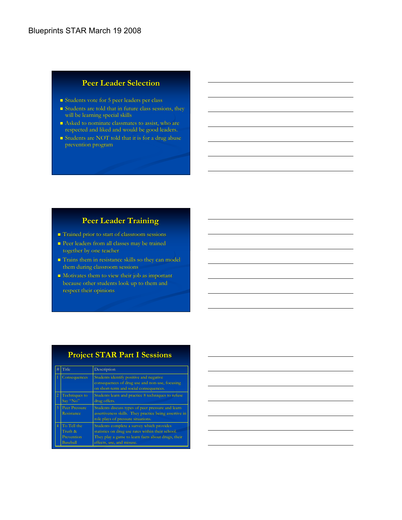#### **Peer Leader Selection**

- Students vote for 5 peer leaders per class
- Students are told that in future class sessions, they will be learning special skills
- Asked to nominate classmates to assist, who are respected and liked and would be good leaders.
- Students are NOT told that it is for a drug abuse prevention program

## **Peer Leader Training**

- Trained prior to start of classroom sessions
- Peer leaders from all classes may be trained together by one teacher
- Trains them in resistance skills so they can model them during classroom sessions
- **Motivates them to view their job as important** because other students look up to them and respect their opinions

# **Project STAR Part I Sessions**

| #              | Title                                                   | Description                                                                                                                                                                       |
|----------------|---------------------------------------------------------|-----------------------------------------------------------------------------------------------------------------------------------------------------------------------------------|
|                | Consequences                                            | Students identify positive and negative<br>consequences of drug use and non-use, focusing<br>on short-term and social consequences.                                               |
| $\overline{2}$ | <b>Techniques to</b><br>Say "No"                        | Students learn and practice 8 techniques to refuse<br>drug offers.                                                                                                                |
| 3              | <b>Peer Pressure</b><br>Resistance                      | Students discuss types of peer pressure and learn<br>assertiveness skills. They practice being assertive in<br>role plays of pressure situations.                                 |
| 4              | To Tell the<br>Truth &<br>Prevention<br><b>Baseball</b> | Students complete a survey which provides<br>statistics on drug use rates within their school.<br>They play a game to learn facts about drugs, their<br>effects, use, and misuse. |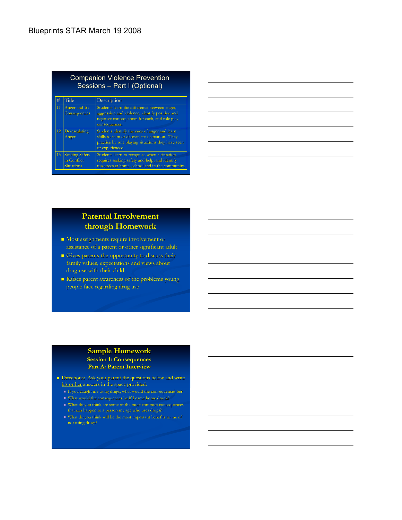| <b>Companion Violence Prevention</b><br>Sessions - Part I (Optional) |                                                           |                                                                                                                                                                           |  |  |
|----------------------------------------------------------------------|-----------------------------------------------------------|---------------------------------------------------------------------------------------------------------------------------------------------------------------------------|--|--|
| #                                                                    | Title                                                     | Description                                                                                                                                                               |  |  |
| 11                                                                   | Anger and Its<br>Consequences                             | Students learn the difference between anger,<br>aggression and violence, identify positive and<br>negative consequences for each, and role play<br>consequences.          |  |  |
| 12                                                                   | De-escalating<br>Anger                                    | Students identify the cues of anger and learn<br>skills to calm or de-escalate a situation. They<br>practice by role playing situations they have seen<br>or experienced. |  |  |
| 13                                                                   | <b>Seeking Safety</b><br>in Conflict<br><b>Situations</b> | Students learn to recognize when a situation<br>requires seeking safety and help, and identify<br>resources at home, school and in the community.                         |  |  |

| <u> 1989 - Andrea Santana, amerikana amerikana amerikana amerikana amerikana amerikana amerikana amerikana amerika</u> |  |  |
|------------------------------------------------------------------------------------------------------------------------|--|--|
| ,我们也不会有什么?""我们的人,我们也不会有什么?""我们的人,我们也不会有什么?""我们的人,我们也不会有什么?""我们的人,我们也不会有什么?""我们的人                                       |  |  |
| the contract of the contract of the contract of the contract of the contract of                                        |  |  |
|                                                                                                                        |  |  |
|                                                                                                                        |  |  |
| ,我们也不会有什么?""我们的人,我们也不会有什么?""我们的人,我们也不会有什么?""我们的人,我们也不会有什么?""我们的人,我们也不会有什么?""我们的人                                       |  |  |
|                                                                                                                        |  |  |

# **Parental Involvement through Homework**

- Most assignments require involvement or assistance of a parent or other significant adult
- Gives parents the opportunity to discuss their family values, expectations and views about drug use with their child
- Raises parent awareness of the problems young people face regarding drug use

#### **Sample Homework Session 1: Consequences Part A: Parent Interview**

- Directions: Ask your parent the questions below and write his or her answers in the space provided.
	-
	-
	-
	- $\blacksquare$  <br> What do you think will be the most important benefits to me of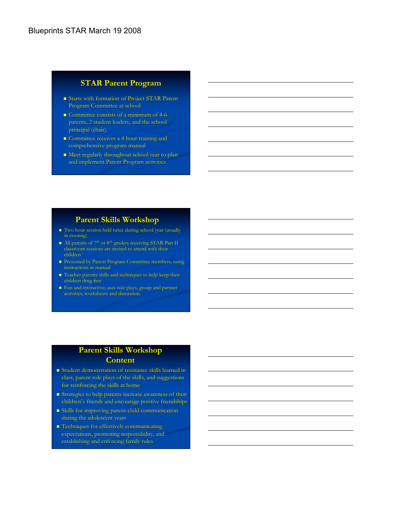### **STAR Parent Program**

- Starts with formation of Project STAR Parent Program Committee at school
- **Committee consists of a minimum of 4-6** parents, 2 student leaders, and the school principal (chair).
- **Committee receives a 4 hour training and** comprehensive program manual
- $\blacksquare$  Meet regularly throughout school year to planand implement Parent Program activities

#### **Parent Skills Workshop**

- Two hour session held twice during school year (usually in evening)
- All parents of 7<sup>th</sup> or 8<sup>th</sup> graders receiving STAR Part II classroom sessions are invited to attend with their children
- Presented by Parent Program Committee members, using
- Teaches parents skills and techniques to help keep their children drug-free
- **Fun and interactive; uses role plays, group and partner** activities, worksheets and discussion.

## **Parent Skills Workshop Content**

- Student demonstration of resistance skills learned in class, parent role plays of the skills, and suggestions for reinforcing the skills at home
- Strategies to help parents increase awareness of their children's friends and encourage positive friendships
- Skills for improving parent-child communication during the adolescent years
- **Techniques for effectively communicating** expectations, promoting responsibility, and establishing and enforcing family rules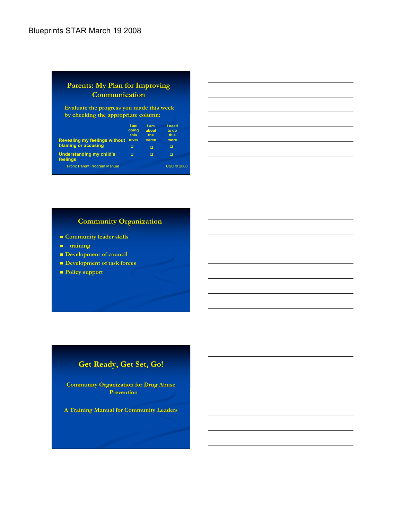#### **Parents: My Plan for Improving Communication**

**Evaluate the progress you made this week by checking the appropriate column:**

| <b>Revealing my feelings without</b>        | l am<br>doing<br>this<br>more | I am<br>about<br>the<br>same | I need<br>to do<br>this<br>more |
|---------------------------------------------|-------------------------------|------------------------------|---------------------------------|
| blaming or accusing                         | □                             | П                            |                                 |
| <b>Understanding my child's</b><br>feelings | n                             | п                            |                                 |
| From: Parent Program Manual                 |                               |                              | <b>USC © 2000</b>               |
|                                             |                               |                              |                                 |

## **Community Organization**

- **Community leader skills**
- **training**
- **Development of council**
- **Development of task forces**
- **Policy support**

# **Get Ready, Get Set, Go!**

**Community Organization for Drug Abuse Prevention**

**A Training Manual for Community Leaders**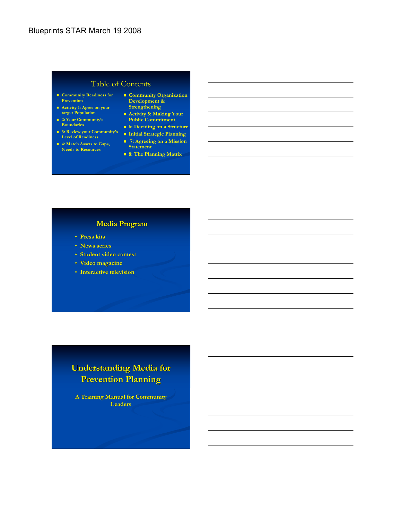### Table of Contents

- **Community Readiness for Prevention**
- **Activity 1: Agree on your target Population**
- **2: Your Community's Boundaries**
- **3: Review your Community's Level of Readiness**
- **4: Match Assets to Gaps,**

## **Needs to Resources**

- **Community Organization Development & Strengthening**
- **Activity 5: Making Your Public Commitment**
- **6: Deciding on a Structure**
- **Initial Strategic Planning 7: Agreeing on a Mission**
- **Statement 8: The Planning Matrix**

#### **Media Program**

- **Press kits**
- **News series**
- **Student video contest**
- **Video magazine**
- **Interactive television**

# **Understanding Media for Prevention Planning**

**A Training Manual for Community Leaders**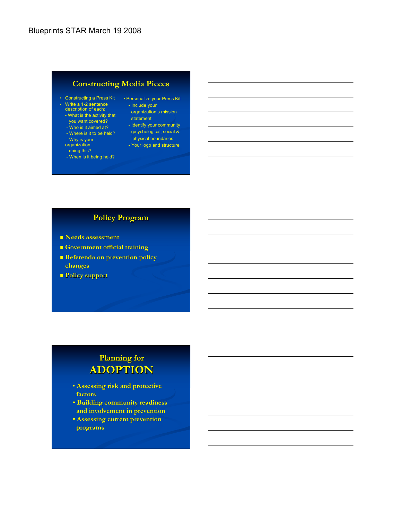# **Constructing Media Pieces**

- Constructing a Press Kit Personalize your Press Kit
- Write a 1-2 sentence description of each:
- What is the activity that
- you want covered?
- Who is it aimed at? - Where is it to be held?
- 
- Why is your organization
- doing this?
- When is it being held?
- Include your organization's mission
- statement
- Identify your community (psychological, social &
	- physical boundaries - Your logo and structure
	-

# **Policy Program**

- **Needs assessment**
- **Government official training**
- **Referenda on prevention policy changes**
- **Policy support**

# **Planning for ADOPTION**

- **Assessing risk and protective factors**
- • **Building community readiness and involvement in prevention**
- Assessing current prevention  **programs**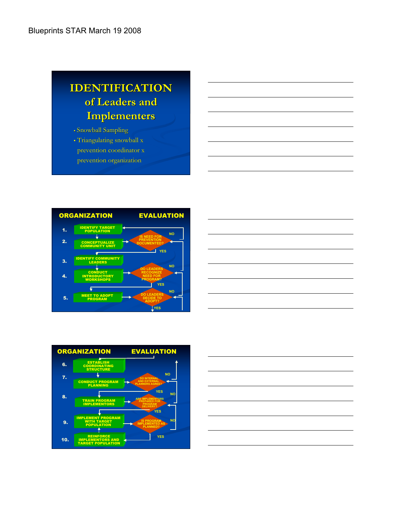# **IDENTIFICATION of Leaders and Implementers**

#### • Snowball Sampling

- Triangulating snowball x prevention coordinator x
- prevention organization





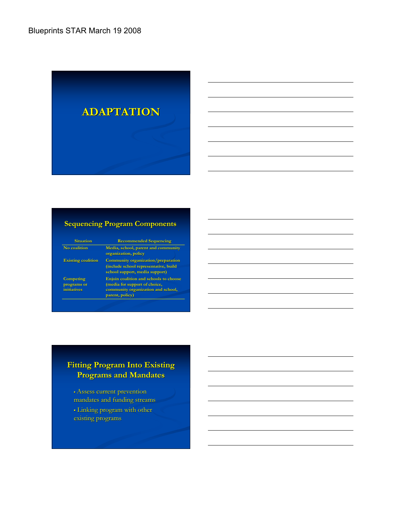

#### **Sequencing Program Components**

**Situation Recommended Sequencing No coalition Media, school, parent and community organization, policy Existing coalition Community organization/preparation (include school representative, build school support, media support) Competing programs or initiatives Enjoin coalition and schools to choose (media for support of choice, community organization and school,**

**parent, policy)**

## **Fitting Program Into Existing Programs and Mandates**

• Assess current prevention mandates and funding streams • Linking program with other

existing programs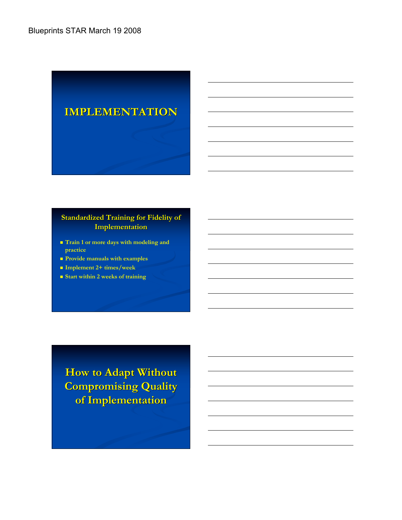

### **Standardized Training for Fidelity of Implementation**

- **Train 1 or more days with modeling and practice**
- **Provide manuals with examples**
- **Implement 2+ times/week**
- **Start within 2 weeks of training**

**How to Adapt Without Compromising Quality of Implementation**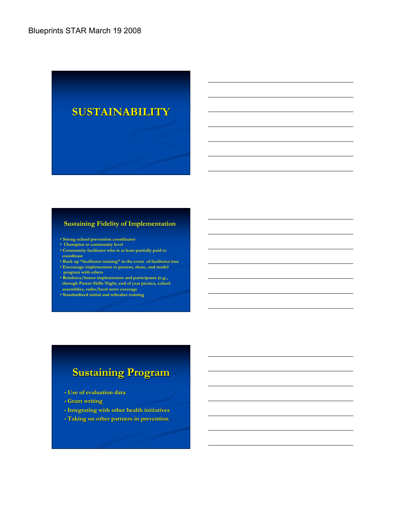

#### **Sustaining Fidelity of Implementation**

- **Strong school prevention coordinator**
- **Champion at community level**
- **Community facilitator who is at least partially paid to coordinate**
- **Back up "facilitator training" in the event of facilitator loss**
- **Encourage implementers to present, share, and model program with others**
- **Reinforce/honor implementers and participants (e.g., through Parent Skills Night, end of year picnics, school assemblies, radio/local news coverage**
- **Standardized initial and refresher training**

# **Sustaining Program**

- **Use of evaluation data**
- **Grant writing**
- **Integrating with other health initiatives**
- **Taking on other partners in prevention**